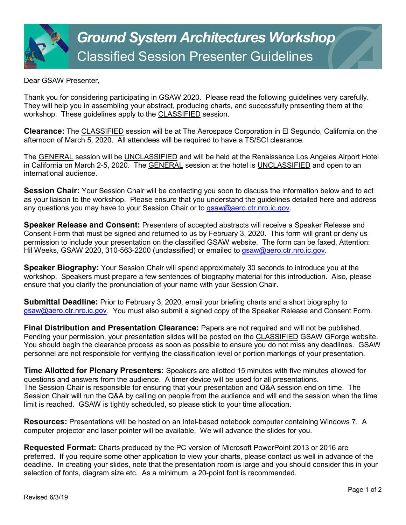Dear GSAW Presenter,

Thank you for considering participating in GSAW 2020. Please read the following guidelines very carefully. They will help you in assembling your abstract, producing charts, and successfully presenting them at the workshop. These guidelines apply to the CLASSIFIED session.

**Clearance:** The CLASSIFIED session will be at The Aerospace Corporation in El Segundo, California on the afternoon of March 5, 2020. All attendees will be required to have a TS/SCI clearance.

The GENERAL session will be UNCLASSIFIED and will be held at the Renaissance Los Angeles Airport Hotel in California on March 2-5, 2020. The GENERAL session at the hotel is UNCLASSIFIED and open to an international audience.

**Session Chair:** Your Session Chair will be contacting you soon to discuss the information below and to act as your liaison to the workshop. Please ensure that you understand the guidelines detailed here and address any questions you may have to your Session Chair or to [gsaw@aero.ctr.nro.ic.gov.](mailto:gsaw@aero.ctr.nro.ic.gov)

**Speaker Release and Consent:** Presenters of accepted abstracts will receive a Speaker Release and Consent Form that must be signed and returned to us by February 3, 2020. This form will grant or deny us permission to include your presentation on the classified GSAW website. The form can be faxed, Attention: Hil Weeks, GSAW 2020, 310-563-2200 (unclassified) or emailed to [gsaw@aero.ctr.nro.ic.gov.](mailto:gsaw@aero.ctr.nro.ic.gov)

**Speaker Biography:** Your Session Chair will spend approximately 30 seconds to introduce you at the workshop. Speakers must prepare a few sentences of biography material for this introduction. Also, please ensure that you clarify the pronunciation of your name with your Session Chair.

**Submittal Deadline:** Prior to February 3, 2020, email your briefing charts and a short biography to [gsaw@aero.ctr.nro.ic.gov.](mailto:gsaw@aero.ctr.nro.ic.gov) You must also submit a signed copy of the Speaker Release and Consent Form.

**Final Distribution and Presentation Clearance:** Papers are not required and will not be published. Pending your permission, your presentation slides will be posted on the CLASSIFIED GSAW GForge website. You should begin the clearance process as soon as possible to ensure you do not miss any deadlines. GSAW personnel are not responsible for verifying the classification level or portion markings of your presentation.

**Time Allotted for Plenary Presenters:** Speakers are allotted 15 minutes with five minutes allowed for questions and answers from the audience. A timer device will be used for all presentations. The Session Chair is responsible for ensuring that your presentation and Q&A session end on time. The Session Chair will run the Q&A by calling on people from the audience and will end the session when the time limit is reached. GSAW is tightly scheduled, so please stick to your time allocation.

**Resources:** Presentations will be hosted on an Intel-based notebook computer containing Windows 7. A computer projector and laser pointer will be available. We will advance the slides for you.

**Requested Format:** Charts produced by the PC version of Microsoft PowerPoint 2013 or 2016 are preferred. If you require some other application to view your charts, please contact us well in advance of the deadline. In creating your slides, note that the presentation room is large and you should consider this in your selection of fonts, diagram size etc. As a minimum, a 20-point font is recommended.